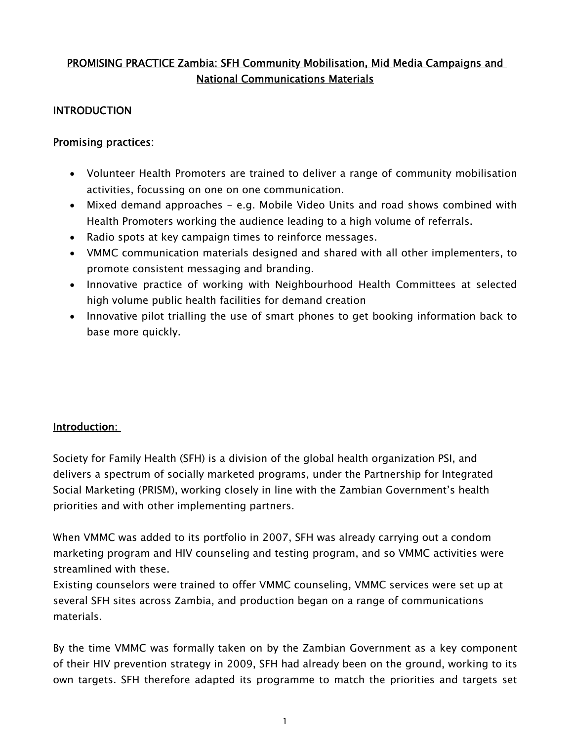# PROMISING PRACTICE Zambia: SFH Community Mobilisation, Mid Media Campaigns and National Communications Materials

### INTRODUCTION

### Promising practices:

- Volunteer Health Promoters are trained to deliver a range of community mobilisation activities, focussing on one on one communication.
- Mixed demand approaches e.g. Mobile Video Units and road shows combined with Health Promoters working the audience leading to a high volume of referrals.
- Radio spots at key campaign times to reinforce messages.
- VMMC communication materials designed and shared with all other implementers, to promote consistent messaging and branding.
- Innovative practice of working with Neighbourhood Health Committees at selected high volume public health facilities for demand creation
- Innovative pilot trialling the use of smart phones to get booking information back to base more quickly.

#### Introduction:

Society for Family Health (SFH) is a division of the global health organization PSI, and delivers a spectrum of socially marketed programs, under the Partnership for Integrated Social Marketing (PRISM), working closely in line with the Zambian Government's health priorities and with other implementing partners.

When VMMC was added to its portfolio in 2007, SFH was already carrying out a condom marketing program and HIV counseling and testing program, and so VMMC activities were streamlined with these.

Existing counselors were trained to offer VMMC counseling, VMMC services were set up at several SFH sites across Zambia, and production began on a range of communications materials.

By the time VMMC was formally taken on by the Zambian Government as a key component of their HIV prevention strategy in 2009, SFH had already been on the ground, working to its own targets. SFH therefore adapted its programme to match the priorities and targets set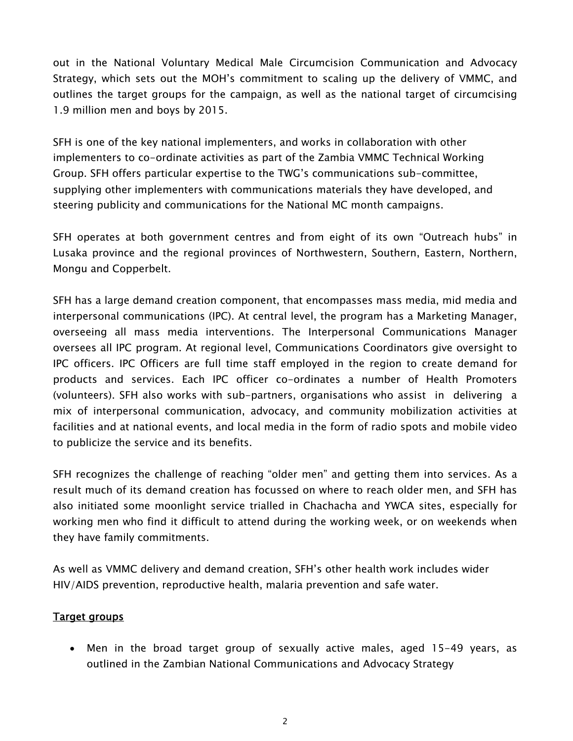out in the National Voluntary Medical Male Circumcision Communication and Advocacy Strategy, which sets out the MOH's commitment to scaling up the delivery of VMMC, and outlines the target groups for the campaign, as well as the national target of circumcising 1.9 million men and boys by 2015.

SFH is one of the key national implementers, and works in collaboration with other implementers to co-ordinate activities as part of the Zambia VMMC Technical Working Group. SFH offers particular expertise to the TWG's communications sub-committee, supplying other implementers with communications materials they have developed, and steering publicity and communications for the National MC month campaigns.

SFH operates at both government centres and from eight of its own "Outreach hubs" in Lusaka province and the regional provinces of Northwestern, Southern, Eastern, Northern, Mongu and Copperbelt.

SFH has a large demand creation component, that encompasses mass media, mid media and interpersonal communications (IPC). At central level, the program has a Marketing Manager, overseeing all mass media interventions. The Interpersonal Communications Manager oversees all IPC program. At regional level, Communications Coordinators give oversight to IPC officers. IPC Officers are full time staff employed in the region to create demand for products and services. Each IPC officer co-ordinates a number of Health Promoters (volunteers). SFH also works with sub-partners, organisations who assist in delivering a mix of interpersonal communication, advocacy, and community mobilization activities at facilities and at national events, and local media in the form of radio spots and mobile video to publicize the service and its benefits.

SFH recognizes the challenge of reaching "older men" and getting them into services. As a result much of its demand creation has focussed on where to reach older men, and SFH has also initiated some moonlight service trialled in Chachacha and YWCA sites, especially for working men who find it difficult to attend during the working week, or on weekends when they have family commitments.

As well as VMMC delivery and demand creation, SFH's other health work includes wider HIV/AIDS prevention, reproductive health, malaria prevention and safe water.

# Target groups

 Men in the broad target group of sexually active males, aged 15-49 years, as outlined in the Zambian National Communications and Advocacy Strategy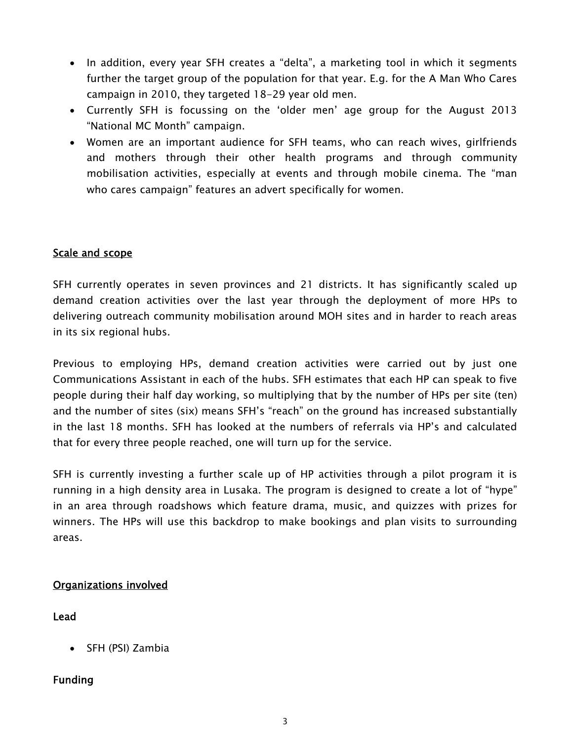- In addition, every year SFH creates a "delta", a marketing tool in which it segments further the target group of the population for that year. E.g. for the A Man Who Cares campaign in 2010, they targeted 18-29 year old men.
- Currently SFH is focussing on the 'older men' age group for the August 2013 "National MC Month" campaign.
- Women are an important audience for SFH teams, who can reach wives, girlfriends and mothers through their other health programs and through community mobilisation activities, especially at events and through mobile cinema. The "man who cares campaign" features an advert specifically for women.

# Scale and scope

SFH currently operates in seven provinces and 21 districts. It has significantly scaled up demand creation activities over the last year through the deployment of more HPs to delivering outreach community mobilisation around MOH sites and in harder to reach areas in its six regional hubs.

Previous to employing HPs, demand creation activities were carried out by just one Communications Assistant in each of the hubs. SFH estimates that each HP can speak to five people during their half day working, so multiplying that by the number of HPs per site (ten) and the number of sites (six) means SFH's "reach" on the ground has increased substantially in the last 18 months. SFH has looked at the numbers of referrals via HP's and calculated that for every three people reached, one will turn up for the service.

SFH is currently investing a further scale up of HP activities through a pilot program it is running in a high density area in Lusaka. The program is designed to create a lot of "hype" in an area through roadshows which feature drama, music, and quizzes with prizes for winners. The HPs will use this backdrop to make bookings and plan visits to surrounding areas.

# Organizations involved

# Lead

• SFH (PSI) Zambia

# Funding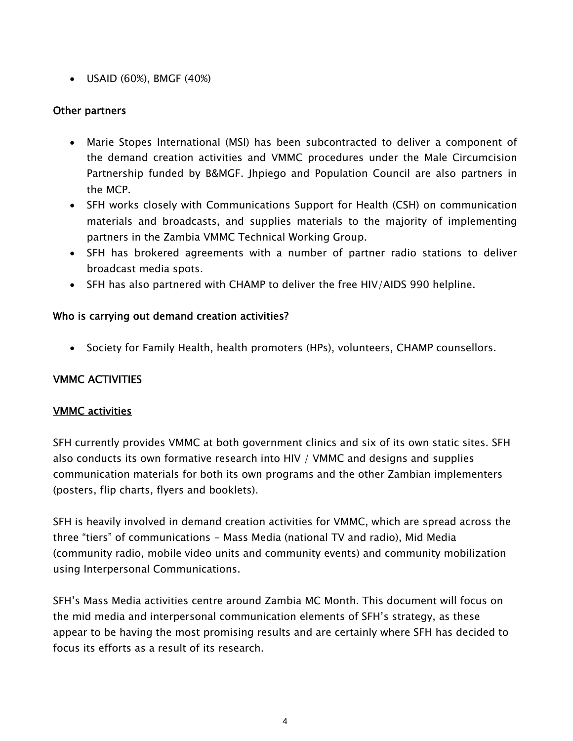USAID (60%), BMGF (40%)

# Other partners

- Marie Stopes International (MSI) has been subcontracted to deliver a component of the demand creation activities and VMMC procedures under the Male Circumcision Partnership funded by B&MGF. Jhpiego and Population Council are also partners in the MCP.
- SFH works closely with Communications Support for Health (CSH) on communication materials and broadcasts, and supplies materials to the majority of implementing partners in the Zambia VMMC Technical Working Group.
- SFH has brokered agreements with a number of partner radio stations to deliver broadcast media spots.
- SFH has also partnered with CHAMP to deliver the free HIV/AIDS 990 helpline.

# Who is carrying out demand creation activities?

• Society for Family Health, health promoters (HPs), volunteers, CHAMP counsellors.

# VMMC ACTIVITIES

# VMMC activities

SFH currently provides VMMC at both government clinics and six of its own static sites. SFH also conducts its own formative research into HIV / VMMC and designs and supplies communication materials for both its own programs and the other Zambian implementers (posters, flip charts, flyers and booklets).

SFH is heavily involved in demand creation activities for VMMC, which are spread across the three "tiers" of communications - Mass Media (national TV and radio), Mid Media (community radio, mobile video units and community events) and community mobilization using Interpersonal Communications.

SFH's Mass Media activities centre around Zambia MC Month. This document will focus on the mid media and interpersonal communication elements of SFH's strategy, as these appear to be having the most promising results and are certainly where SFH has decided to focus its efforts as a result of its research.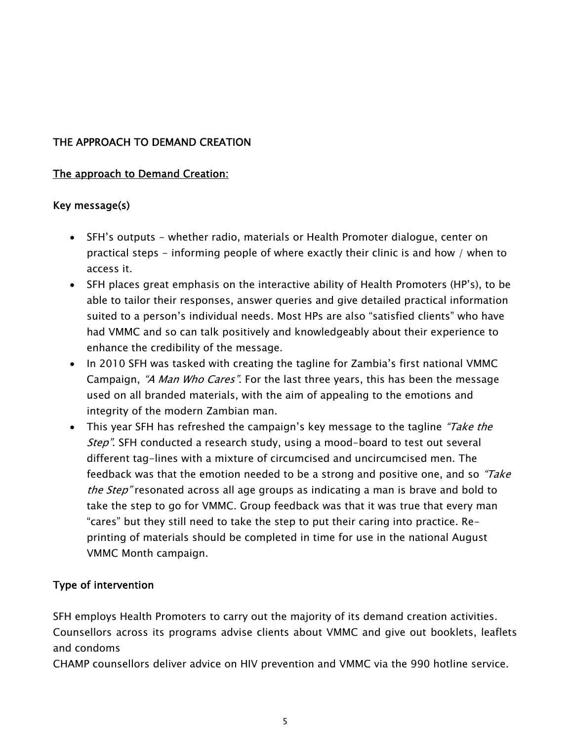# THE APPROACH TO DEMAND CREATION

### The approach to Demand Creation:

### Key message(s)

- SFH's outputs whether radio, materials or Health Promoter dialogue, center on practical steps - informing people of where exactly their clinic is and how / when to access it.
- SFH places great emphasis on the interactive ability of Health Promoters (HP's), to be able to tailor their responses, answer queries and give detailed practical information suited to a person's individual needs. Most HPs are also "satisfied clients" who have had VMMC and so can talk positively and knowledgeably about their experience to enhance the credibility of the message.
- In 2010 SFH was tasked with creating the tagline for Zambia's first national VMMC Campaign, "A Man Who Cares". For the last three years, this has been the message used on all branded materials, with the aim of appealing to the emotions and integrity of the modern Zambian man.
- This year SFH has refreshed the campaign's key message to the tagline "Take the Step". SFH conducted a research study, using a mood-board to test out several different tag-lines with a mixture of circumcised and uncircumcised men. The feedback was that the emotion needed to be a strong and positive one, and so "Take the Step" resonated across all age groups as indicating a man is brave and bold to take the step to go for VMMC. Group feedback was that it was true that every man "cares" but they still need to take the step to put their caring into practice. Reprinting of materials should be completed in time for use in the national August VMMC Month campaign.

# Type of intervention

SFH employs Health Promoters to carry out the majority of its demand creation activities. Counsellors across its programs advise clients about VMMC and give out booklets, leaflets and condoms

CHAMP counsellors deliver advice on HIV prevention and VMMC via the 990 hotline service.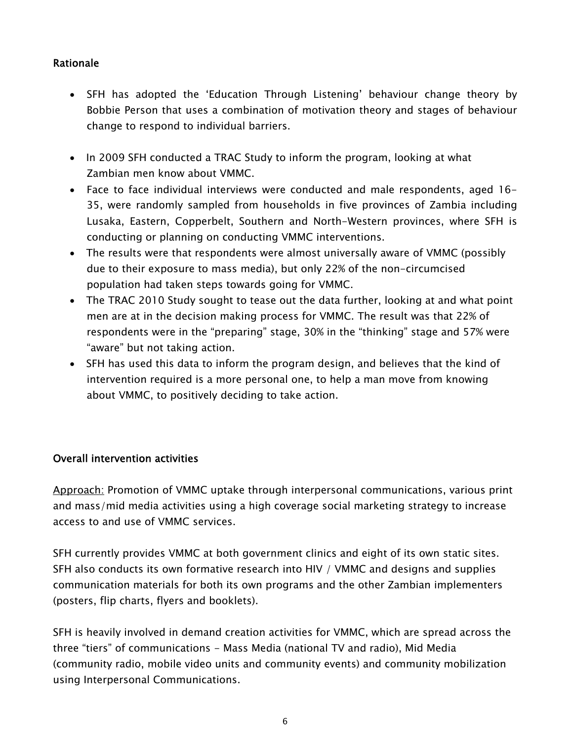# Rationale

- SFH has adopted the 'Education Through Listening' behaviour change theory by Bobbie Person that uses a combination of motivation theory and stages of behaviour change to respond to individual barriers.
- In 2009 SFH conducted a TRAC Study to inform the program, looking at what Zambian men know about VMMC.
- Face to face individual interviews were conducted and male respondents, aged 16- 35, were randomly sampled from households in five provinces of Zambia including Lusaka, Eastern, Copperbelt, Southern and North-Western provinces, where SFH is conducting or planning on conducting VMMC interventions.
- The results were that respondents were almost universally aware of VMMC (possibly due to their exposure to mass media), but only 22% of the non-circumcised population had taken steps towards going for VMMC.
- The TRAC 2010 Study sought to tease out the data further, looking at and what point men are at in the decision making process for VMMC. The result was that 22% of respondents were in the "preparing" stage, 30% in the "thinking" stage and 57% were "aware" but not taking action.
- SFH has used this data to inform the program design, and believes that the kind of intervention required is a more personal one, to help a man move from knowing about VMMC, to positively deciding to take action.

# Overall intervention activities

Approach: Promotion of VMMC uptake through interpersonal communications, various print and mass/mid media activities using a high coverage social marketing strategy to increase access to and use of VMMC services.

SFH currently provides VMMC at both government clinics and eight of its own static sites. SFH also conducts its own formative research into HIV / VMMC and designs and supplies communication materials for both its own programs and the other Zambian implementers (posters, flip charts, flyers and booklets).

SFH is heavily involved in demand creation activities for VMMC, which are spread across the three "tiers" of communications - Mass Media (national TV and radio), Mid Media (community radio, mobile video units and community events) and community mobilization using Interpersonal Communications.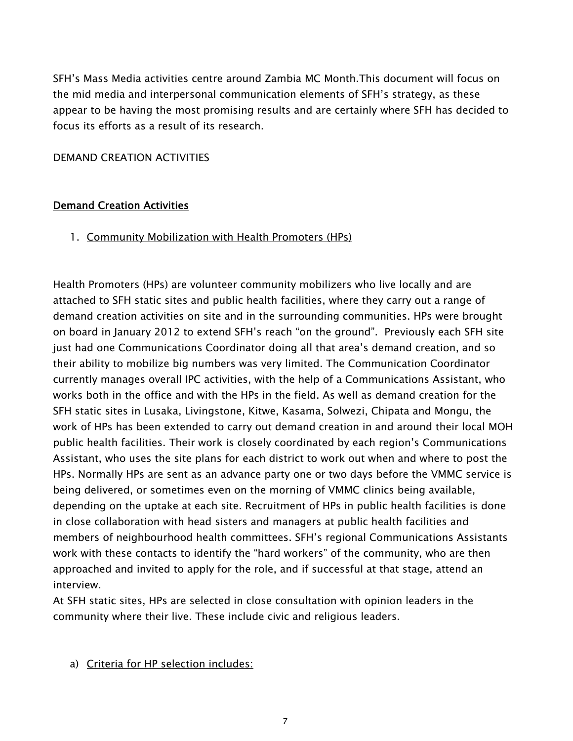SFH's Mass Media activities centre around Zambia MC Month.This document will focus on the mid media and interpersonal communication elements of SFH's strategy, as these appear to be having the most promising results and are certainly where SFH has decided to focus its efforts as a result of its research.

#### DEMAND CREATION ACTIVITIES

#### Demand Creation Activities

### 1. Community Mobilization with Health Promoters (HPs)

Health Promoters (HPs) are volunteer community mobilizers who live locally and are attached to SFH static sites and public health facilities, where they carry out a range of demand creation activities on site and in the surrounding communities. HPs were brought on board in January 2012 to extend SFH's reach "on the ground". Previously each SFH site just had one Communications Coordinator doing all that area's demand creation, and so their ability to mobilize big numbers was very limited. The Communication Coordinator currently manages overall IPC activities, with the help of a Communications Assistant, who works both in the office and with the HPs in the field. As well as demand creation for the SFH static sites in Lusaka, Livingstone, Kitwe, Kasama, Solwezi, Chipata and Mongu, the work of HPs has been extended to carry out demand creation in and around their local MOH public health facilities. Their work is closely coordinated by each region's Communications Assistant, who uses the site plans for each district to work out when and where to post the HPs. Normally HPs are sent as an advance party one or two days before the VMMC service is being delivered, or sometimes even on the morning of VMMC clinics being available, depending on the uptake at each site. Recruitment of HPs in public health facilities is done in close collaboration with head sisters and managers at public health facilities and members of neighbourhood health committees. SFH's regional Communications Assistants work with these contacts to identify the "hard workers" of the community, who are then approached and invited to apply for the role, and if successful at that stage, attend an interview.

At SFH static sites, HPs are selected in close consultation with opinion leaders in the community where their live. These include civic and religious leaders.

#### a) Criteria for HP selection includes: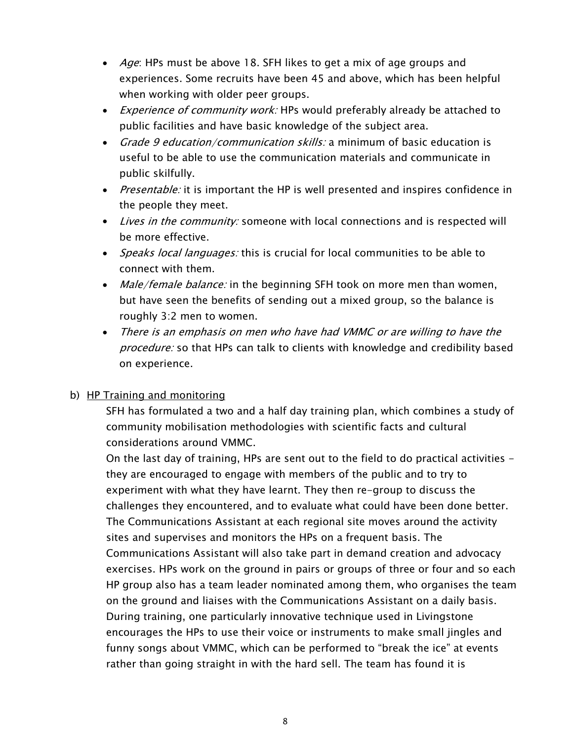- *Age*: HPs must be above 18. SFH likes to get a mix of age groups and experiences. Some recruits have been 45 and above, which has been helpful when working with older peer groups.
- *Experience of community work:* HPs would preferably already be attached to public facilities and have basic knowledge of the subject area.
- Grade 9 education/communication skills: a minimum of basic education is useful to be able to use the communication materials and communicate in public skilfully.
- Presentable: it is important the HP is well presented and inspires confidence in the people they meet.
- Lives in the community: someone with local connections and is respected will be more effective.
- *Speaks local languages:* this is crucial for local communities to be able to connect with them.
- Male/female balance: in the beginning SFH took on more men than women, but have seen the benefits of sending out a mixed group, so the balance is roughly 3:2 men to women.
- There is an emphasis on men who have had VMMC or are willing to have the *procedure:* so that HPs can talk to clients with knowledge and credibility based on experience.

# b) HP Training and monitoring

SFH has formulated a two and a half day training plan, which combines a study of community mobilisation methodologies with scientific facts and cultural considerations around VMMC.

On the last day of training, HPs are sent out to the field to do practical activities they are encouraged to engage with members of the public and to try to experiment with what they have learnt. They then re-group to discuss the challenges they encountered, and to evaluate what could have been done better. The Communications Assistant at each regional site moves around the activity sites and supervises and monitors the HPs on a frequent basis. The Communications Assistant will also take part in demand creation and advocacy exercises. HPs work on the ground in pairs or groups of three or four and so each HP group also has a team leader nominated among them, who organises the team on the ground and liaises with the Communications Assistant on a daily basis. During training, one particularly innovative technique used in Livingstone encourages the HPs to use their voice or instruments to make small jingles and funny songs about VMMC, which can be performed to "break the ice" at events rather than going straight in with the hard sell. The team has found it is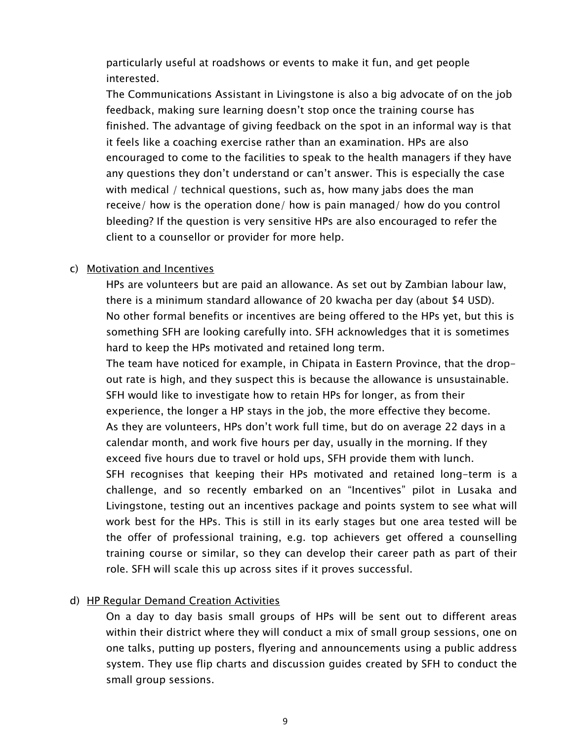particularly useful at roadshows or events to make it fun, and get people interested.

The Communications Assistant in Livingstone is also a big advocate of on the job feedback, making sure learning doesn't stop once the training course has finished. The advantage of giving feedback on the spot in an informal way is that it feels like a coaching exercise rather than an examination. HPs are also encouraged to come to the facilities to speak to the health managers if they have any questions they don't understand or can't answer. This is especially the case with medical / technical questions, such as, how many jabs does the man receive/ how is the operation done/ how is pain managed/ how do you control bleeding? If the question is very sensitive HPs are also encouraged to refer the client to a counsellor or provider for more help.

#### c) Motivation and Incentives

HPs are volunteers but are paid an allowance. As set out by Zambian labour law, there is a minimum standard allowance of 20 kwacha per day (about \$4 USD). No other formal benefits or incentives are being offered to the HPs yet, but this is something SFH are looking carefully into. SFH acknowledges that it is sometimes hard to keep the HPs motivated and retained long term.

The team have noticed for example, in Chipata in Eastern Province, that the dropout rate is high, and they suspect this is because the allowance is unsustainable. SFH would like to investigate how to retain HPs for longer, as from their experience, the longer a HP stays in the job, the more effective they become. As they are volunteers, HPs don't work full time, but do on average 22 days in a calendar month, and work five hours per day, usually in the morning. If they exceed five hours due to travel or hold ups, SFH provide them with lunch.

SFH recognises that keeping their HPs motivated and retained long-term is a challenge, and so recently embarked on an "Incentives" pilot in Lusaka and Livingstone, testing out an incentives package and points system to see what will work best for the HPs. This is still in its early stages but one area tested will be the offer of professional training, e.g. top achievers get offered a counselling training course or similar, so they can develop their career path as part of their role. SFH will scale this up across sites if it proves successful.

#### d) HP Regular Demand Creation Activities

On a day to day basis small groups of HPs will be sent out to different areas within their district where they will conduct a mix of small group sessions, one on one talks, putting up posters, flyering and announcements using a public address system. They use flip charts and discussion guides created by SFH to conduct the small group sessions.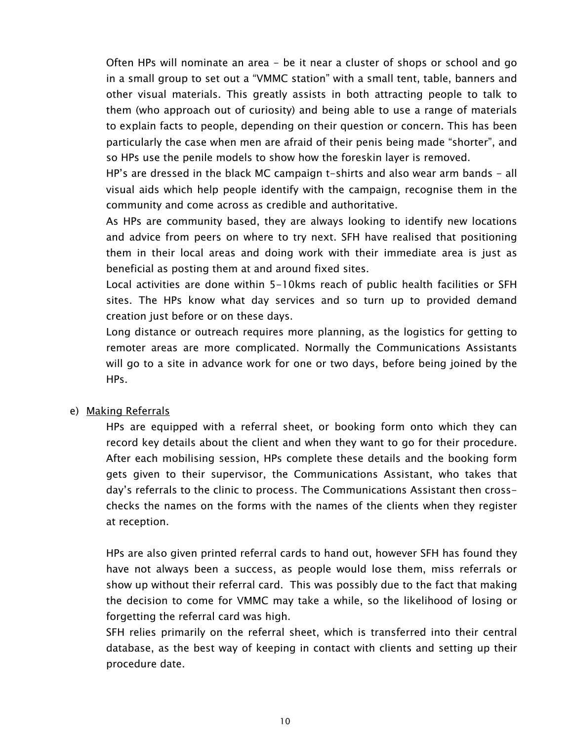Often HPs will nominate an area - be it near a cluster of shops or school and go in a small group to set out a "VMMC station" with a small tent, table, banners and other visual materials. This greatly assists in both attracting people to talk to them (who approach out of curiosity) and being able to use a range of materials to explain facts to people, depending on their question or concern. This has been particularly the case when men are afraid of their penis being made "shorter", and so HPs use the penile models to show how the foreskin layer is removed.

HP's are dressed in the black MC campaign t-shirts and also wear arm bands - all visual aids which help people identify with the campaign, recognise them in the community and come across as credible and authoritative.

As HPs are community based, they are always looking to identify new locations and advice from peers on where to try next. SFH have realised that positioning them in their local areas and doing work with their immediate area is just as beneficial as posting them at and around fixed sites.

Local activities are done within 5-10kms reach of public health facilities or SFH sites. The HPs know what day services and so turn up to provided demand creation just before or on these days.

Long distance or outreach requires more planning, as the logistics for getting to remoter areas are more complicated. Normally the Communications Assistants will go to a site in advance work for one or two days, before being joined by the HPs.

#### e) Making Referrals

HPs are equipped with a referral sheet, or booking form onto which they can record key details about the client and when they want to go for their procedure. After each mobilising session, HPs complete these details and the booking form gets given to their supervisor, the Communications Assistant, who takes that day's referrals to the clinic to process. The Communications Assistant then crosschecks the names on the forms with the names of the clients when they register at reception.

HPs are also given printed referral cards to hand out, however SFH has found they have not always been a success, as people would lose them, miss referrals or show up without their referral card. This was possibly due to the fact that making the decision to come for VMMC may take a while, so the likelihood of losing or forgetting the referral card was high.

SFH relies primarily on the referral sheet, which is transferred into their central database, as the best way of keeping in contact with clients and setting up their procedure date.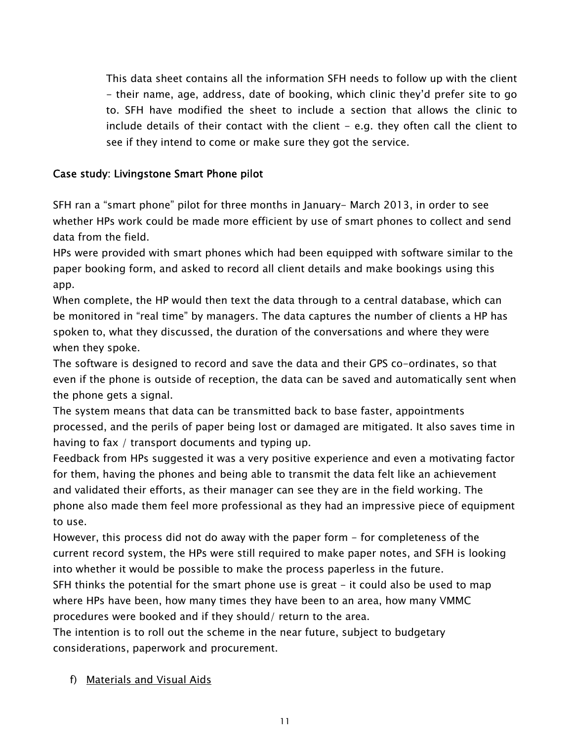This data sheet contains all the information SFH needs to follow up with the client - their name, age, address, date of booking, which clinic they'd prefer site to go to. SFH have modified the sheet to include a section that allows the clinic to include details of their contact with the client - e.g. they often call the client to see if they intend to come or make sure they got the service.

### Case study: Livingstone Smart Phone pilot

SFH ran a "smart phone" pilot for three months in January- March 2013, in order to see whether HPs work could be made more efficient by use of smart phones to collect and send data from the field.

HPs were provided with smart phones which had been equipped with software similar to the paper booking form, and asked to record all client details and make bookings using this app.

When complete, the HP would then text the data through to a central database, which can be monitored in "real time" by managers. The data captures the number of clients a HP has spoken to, what they discussed, the duration of the conversations and where they were when they spoke.

The software is designed to record and save the data and their GPS co-ordinates, so that even if the phone is outside of reception, the data can be saved and automatically sent when the phone gets a signal.

The system means that data can be transmitted back to base faster, appointments processed, and the perils of paper being lost or damaged are mitigated. It also saves time in having to fax / transport documents and typing up.

Feedback from HPs suggested it was a very positive experience and even a motivating factor for them, having the phones and being able to transmit the data felt like an achievement and validated their efforts, as their manager can see they are in the field working. The phone also made them feel more professional as they had an impressive piece of equipment to use.

However, this process did not do away with the paper form - for completeness of the current record system, the HPs were still required to make paper notes, and SFH is looking into whether it would be possible to make the process paperless in the future.

SFH thinks the potential for the smart phone use is great  $-$  it could also be used to map where HPs have been, how many times they have been to an area, how many VMMC procedures were booked and if they should/ return to the area.

The intention is to roll out the scheme in the near future, subject to budgetary considerations, paperwork and procurement.

f) Materials and Visual Aids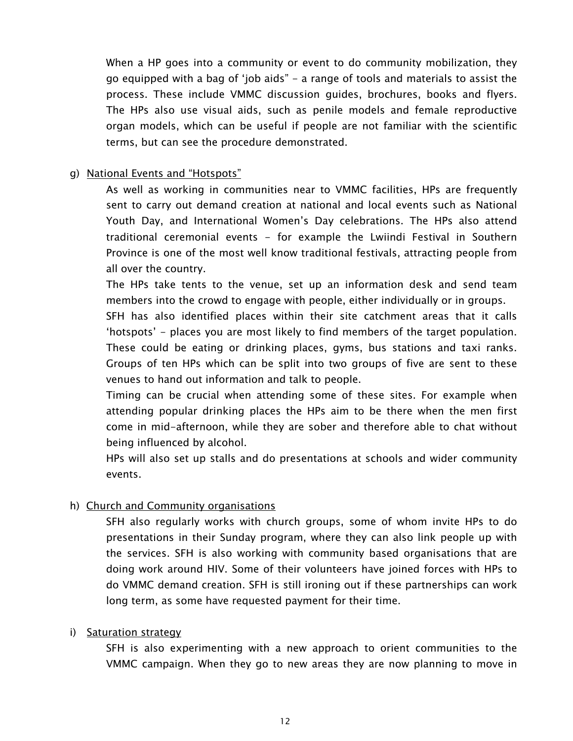When a HP goes into a community or event to do community mobilization, they go equipped with a bag of 'job aids" - a range of tools and materials to assist the process. These include VMMC discussion guides, brochures, books and flyers. The HPs also use visual aids, such as penile models and female reproductive organ models, which can be useful if people are not familiar with the scientific terms, but can see the procedure demonstrated.

#### g) National Events and "Hotspots"

As well as working in communities near to VMMC facilities, HPs are frequently sent to carry out demand creation at national and local events such as National Youth Day, and International Women's Day celebrations. The HPs also attend traditional ceremonial events - for example the Lwiindi Festival in Southern Province is one of the most well know traditional festivals, attracting people from all over the country.

The HPs take tents to the venue, set up an information desk and send team members into the crowd to engage with people, either individually or in groups.

SFH has also identified places within their site catchment areas that it calls 'hotspots' - places you are most likely to find members of the target population. These could be eating or drinking places, gyms, bus stations and taxi ranks. Groups of ten HPs which can be split into two groups of five are sent to these venues to hand out information and talk to people.

Timing can be crucial when attending some of these sites. For example when attending popular drinking places the HPs aim to be there when the men first come in mid-afternoon, while they are sober and therefore able to chat without being influenced by alcohol.

HPs will also set up stalls and do presentations at schools and wider community events.

#### h) Church and Community organisations

SFH also regularly works with church groups, some of whom invite HPs to do presentations in their Sunday program, where they can also link people up with the services. SFH is also working with community based organisations that are doing work around HIV. Some of their volunteers have joined forces with HPs to do VMMC demand creation. SFH is still ironing out if these partnerships can work long term, as some have requested payment for their time.

#### i) Saturation strategy

SFH is also experimenting with a new approach to orient communities to the VMMC campaign. When they go to new areas they are now planning to move in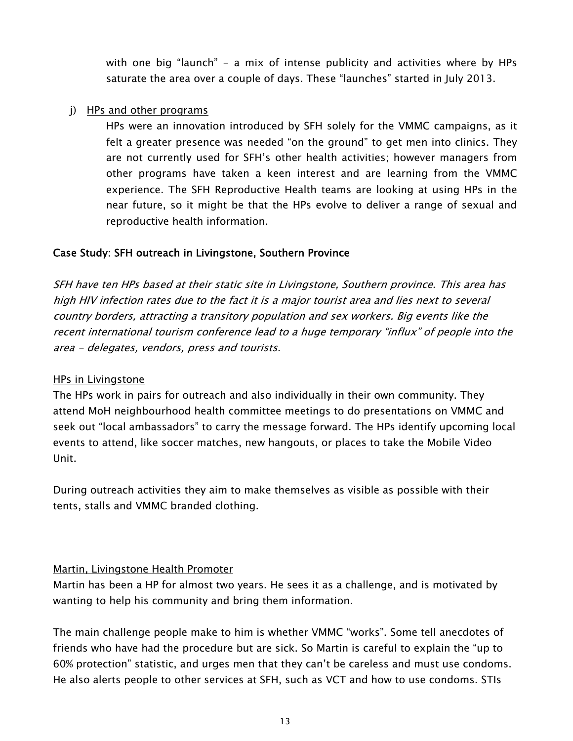with one big "launch" - a mix of intense publicity and activities where by HPs saturate the area over a couple of days. These "launches" started in July 2013.

#### j) HPs and other programs

HPs were an innovation introduced by SFH solely for the VMMC campaigns, as it felt a greater presence was needed "on the ground" to get men into clinics. They are not currently used for SFH's other health activities; however managers from other programs have taken a keen interest and are learning from the VMMC experience. The SFH Reproductive Health teams are looking at using HPs in the near future, so it might be that the HPs evolve to deliver a range of sexual and reproductive health information.

### Case Study: SFH outreach in Livingstone, Southern Province

SFH have ten HPs based at their static site in Livingstone, Southern province. This area has high HIV infection rates due to the fact it is a major tourist area and lies next to several country borders, attracting a transitory population and sex workers. Big events like the recent international tourism conference lead to a huge temporary "influx" of people into the area - delegates, vendors, press and tourists.

#### HPs in Livingstone

The HPs work in pairs for outreach and also individually in their own community. They attend MoH neighbourhood health committee meetings to do presentations on VMMC and seek out "local ambassadors" to carry the message forward. The HPs identify upcoming local events to attend, like soccer matches, new hangouts, or places to take the Mobile Video Unit.

During outreach activities they aim to make themselves as visible as possible with their tents, stalls and VMMC branded clothing.

#### Martin, Livingstone Health Promoter

Martin has been a HP for almost two years. He sees it as a challenge, and is motivated by wanting to help his community and bring them information.

The main challenge people make to him is whether VMMC "works". Some tell anecdotes of friends who have had the procedure but are sick. So Martin is careful to explain the "up to 60% protection" statistic, and urges men that they can't be careless and must use condoms. He also alerts people to other services at SFH, such as VCT and how to use condoms. STIs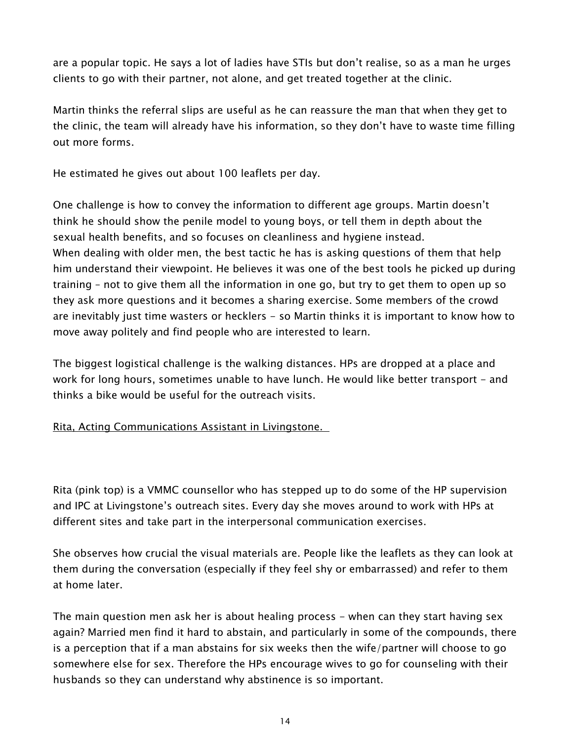are a popular topic. He says a lot of ladies have STIs but don't realise, so as a man he urges clients to go with their partner, not alone, and get treated together at the clinic.

Martin thinks the referral slips are useful as he can reassure the man that when they get to the clinic, the team will already have his information, so they don't have to waste time filling out more forms.

He estimated he gives out about 100 leaflets per day.

One challenge is how to convey the information to different age groups. Martin doesn't think he should show the penile model to young boys, or tell them in depth about the sexual health benefits, and so focuses on cleanliness and hygiene instead. When dealing with older men, the best tactic he has is asking questions of them that help him understand their viewpoint. He believes it was one of the best tools he picked up during training – not to give them all the information in one go, but try to get them to open up so they ask more questions and it becomes a sharing exercise. Some members of the crowd are inevitably just time wasters or hecklers - so Martin thinks it is important to know how to move away politely and find people who are interested to learn.

The biggest logistical challenge is the walking distances. HPs are dropped at a place and work for long hours, sometimes unable to have lunch. He would like better transport - and thinks a bike would be useful for the outreach visits.

Rita, Acting Communications Assistant in Livingstone.

Rita (pink top) is a VMMC counsellor who has stepped up to do some of the HP supervision and IPC at Livingstone's outreach sites. Every day she moves around to work with HPs at different sites and take part in the interpersonal communication exercises.

She observes how crucial the visual materials are. People like the leaflets as they can look at them during the conversation (especially if they feel shy or embarrassed) and refer to them at home later.

The main question men ask her is about healing process - when can they start having sex again? Married men find it hard to abstain, and particularly in some of the compounds, there is a perception that if a man abstains for six weeks then the wife/partner will choose to go somewhere else for sex. Therefore the HPs encourage wives to go for counseling with their husbands so they can understand why abstinence is so important.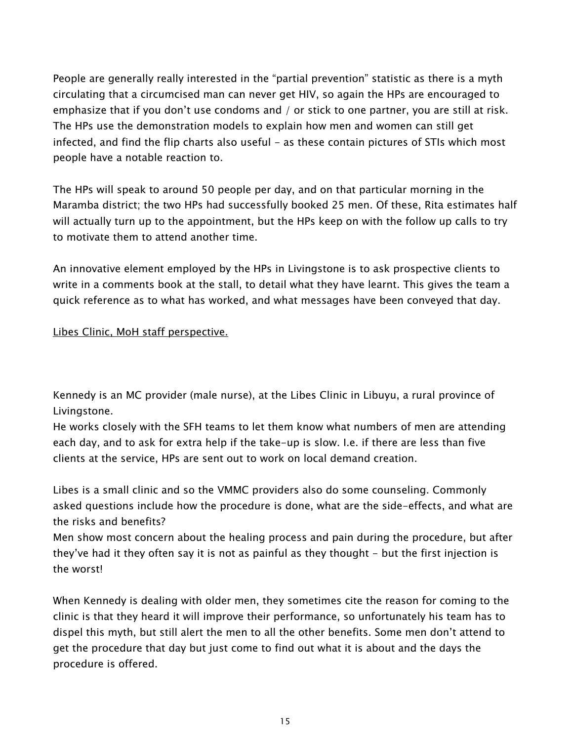People are generally really interested in the "partial prevention" statistic as there is a myth circulating that a circumcised man can never get HIV, so again the HPs are encouraged to emphasize that if you don't use condoms and / or stick to one partner, you are still at risk. The HPs use the demonstration models to explain how men and women can still get infected, and find the flip charts also useful - as these contain pictures of STIs which most people have a notable reaction to.

The HPs will speak to around 50 people per day, and on that particular morning in the Maramba district; the two HPs had successfully booked 25 men. Of these, Rita estimates half will actually turn up to the appointment, but the HPs keep on with the follow up calls to try to motivate them to attend another time.

An innovative element employed by the HPs in Livingstone is to ask prospective clients to write in a comments book at the stall, to detail what they have learnt. This gives the team a quick reference as to what has worked, and what messages have been conveyed that day.

### Libes Clinic, MoH staff perspective.

Kennedy is an MC provider (male nurse), at the Libes Clinic in Libuyu, a rural province of Livingstone.

He works closely with the SFH teams to let them know what numbers of men are attending each day, and to ask for extra help if the take-up is slow. I.e. if there are less than five clients at the service, HPs are sent out to work on local demand creation.

Libes is a small clinic and so the VMMC providers also do some counseling. Commonly asked questions include how the procedure is done, what are the side-effects, and what are the risks and benefits?

Men show most concern about the healing process and pain during the procedure, but after they've had it they often say it is not as painful as they thought - but the first injection is the worst!

When Kennedy is dealing with older men, they sometimes cite the reason for coming to the clinic is that they heard it will improve their performance, so unfortunately his team has to dispel this myth, but still alert the men to all the other benefits. Some men don't attend to get the procedure that day but just come to find out what it is about and the days the procedure is offered.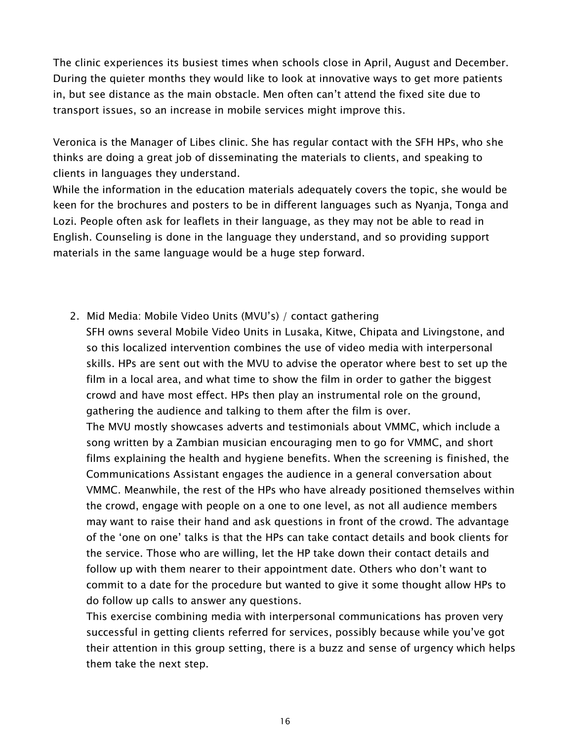The clinic experiences its busiest times when schools close in April, August and December. During the quieter months they would like to look at innovative ways to get more patients in, but see distance as the main obstacle. Men often can't attend the fixed site due to transport issues, so an increase in mobile services might improve this.

Veronica is the Manager of Libes clinic. She has regular contact with the SFH HPs, who she thinks are doing a great job of disseminating the materials to clients, and speaking to clients in languages they understand.

While the information in the education materials adequately covers the topic, she would be keen for the brochures and posters to be in different languages such as Nyanja, Tonga and Lozi. People often ask for leaflets in their language, as they may not be able to read in English. Counseling is done in the language they understand, and so providing support materials in the same language would be a huge step forward.

2. Mid Media: Mobile Video Units (MVU's) / contact gathering SFH owns several Mobile Video Units in Lusaka, Kitwe, Chipata and Livingstone, and so this localized intervention combines the use of video media with interpersonal skills. HPs are sent out with the MVU to advise the operator where best to set up the film in a local area, and what time to show the film in order to gather the biggest crowd and have most effect. HPs then play an instrumental role on the ground, gathering the audience and talking to them after the film is over. The MVU mostly showcases adverts and testimonials about VMMC, which include a song written by a Zambian musician encouraging men to go for VMMC, and short films explaining the health and hygiene benefits. When the screening is finished, the Communications Assistant engages the audience in a general conversation about VMMC. Meanwhile, the rest of the HPs who have already positioned themselves within the crowd, engage with people on a one to one level, as not all audience members may want to raise their hand and ask questions in front of the crowd. The advantage of the 'one on one' talks is that the HPs can take contact details and book clients for the service. Those who are willing, let the HP take down their contact details and

follow up with them nearer to their appointment date. Others who don't want to commit to a date for the procedure but wanted to give it some thought allow HPs to do follow up calls to answer any questions.

This exercise combining media with interpersonal communications has proven very successful in getting clients referred for services, possibly because while you've got their attention in this group setting, there is a buzz and sense of urgency which helps them take the next step.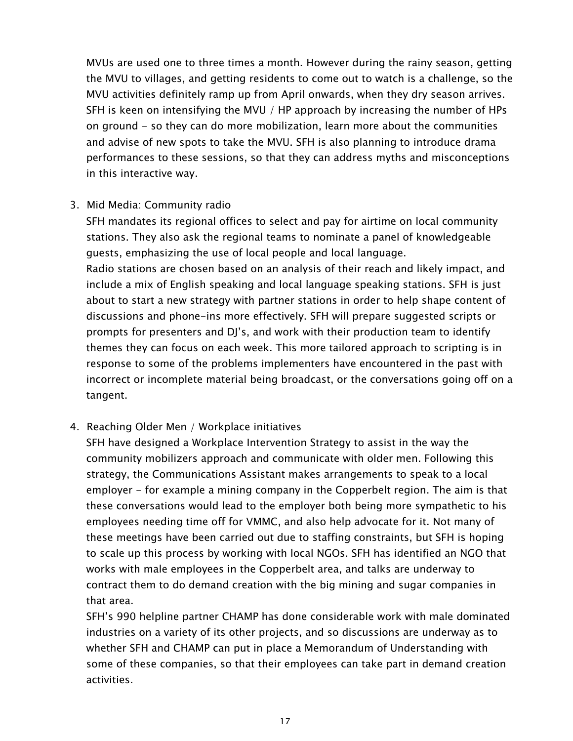MVUs are used one to three times a month. However during the rainy season, getting the MVU to villages, and getting residents to come out to watch is a challenge, so the MVU activities definitely ramp up from April onwards, when they dry season arrives. SFH is keen on intensifying the MVU / HP approach by increasing the number of HPs on ground - so they can do more mobilization, learn more about the communities and advise of new spots to take the MVU. SFH is also planning to introduce drama performances to these sessions, so that they can address myths and misconceptions in this interactive way.

### 3. Mid Media: Community radio

SFH mandates its regional offices to select and pay for airtime on local community stations. They also ask the regional teams to nominate a panel of knowledgeable guests, emphasizing the use of local people and local language. Radio stations are chosen based on an analysis of their reach and likely impact, and include a mix of English speaking and local language speaking stations. SFH is just about to start a new strategy with partner stations in order to help shape content of discussions and phone-ins more effectively. SFH will prepare suggested scripts or prompts for presenters and DJ's, and work with their production team to identify themes they can focus on each week. This more tailored approach to scripting is in response to some of the problems implementers have encountered in the past with incorrect or incomplete material being broadcast, or the conversations going off on a tangent.

# 4. Reaching Older Men / Workplace initiatives

SFH have designed a Workplace Intervention Strategy to assist in the way the community mobilizers approach and communicate with older men. Following this strategy, the Communications Assistant makes arrangements to speak to a local employer - for example a mining company in the Copperbelt region. The aim is that these conversations would lead to the employer both being more sympathetic to his employees needing time off for VMMC, and also help advocate for it. Not many of these meetings have been carried out due to staffing constraints, but SFH is hoping to scale up this process by working with local NGOs. SFH has identified an NGO that works with male employees in the Copperbelt area, and talks are underway to contract them to do demand creation with the big mining and sugar companies in that area.

SFH's 990 helpline partner CHAMP has done considerable work with male dominated industries on a variety of its other projects, and so discussions are underway as to whether SFH and CHAMP can put in place a Memorandum of Understanding with some of these companies, so that their employees can take part in demand creation activities.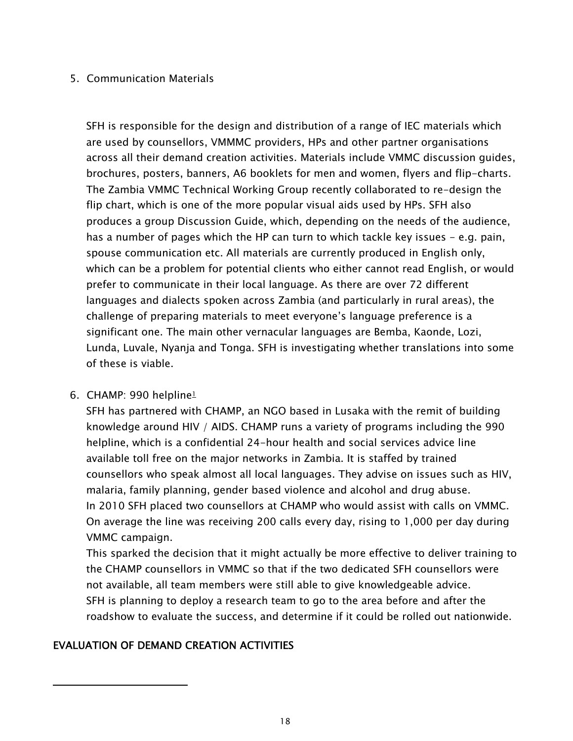### 5. Communication Materials

SFH is responsible for the design and distribution of a range of IEC materials which are used by counsellors, VMMMC providers, HPs and other partner organisations across all their demand creation activities. Materials include VMMC discussion guides, brochures, posters, banners, A6 booklets for men and women, flyers and flip-charts. The Zambia VMMC Technical Working Group recently collaborated to re-design the flip chart, which is one of the more popular visual aids used by HPs. SFH also produces a group Discussion Guide, which, depending on the needs of the audience, has a number of pages which the HP can turn to which tackle key issues  $-$  e.g. pain, spouse communication etc. All materials are currently produced in English only, which can be a problem for potential clients who either cannot read English, or would prefer to communicate in their local language. As there are over 72 different languages and dialects spoken across Zambia (and particularly in rural areas), the challenge of preparing materials to meet everyone's language preference is a significant one. The main other vernacular languages are Bemba, Kaonde, Lozi, Lunda, Luvale, Nyanja and Tonga. SFH is investigating whether translations into some of these is viable.

#### 6. CHAMP: 990 helpline<sup>1</sup>

SFH has partnered with CHAMP, an NGO based in Lusaka with the remit of building knowledge around HIV / AIDS. CHAMP runs a variety of programs including the 990 helpline, which is a confidential 24-hour health and social services advice line available toll free on the major networks in Zambia. It is staffed by trained counsellors who speak almost all local languages. They advise on issues such as HIV, malaria, family planning, gender based violence and alcohol and drug abuse. In 2010 SFH placed two counsellors at CHAMP who would assist with calls on VMMC. On average the line was receiving 200 calls every day, rising to 1,000 per day during VMMC campaign.

This sparked the decision that it might actually be more effective to deliver training to the CHAMP counsellors in VMMC so that if the two dedicated SFH counsellors were not available, all team members were still able to give knowledgeable advice. SFH is planning to deploy a research team to go to the area before and after the roadshow to evaluate the success, and determine if it could be rolled out nationwide.

# EVALUATION OF DEMAND CREATION ACTIVITIES

 $\overline{a}$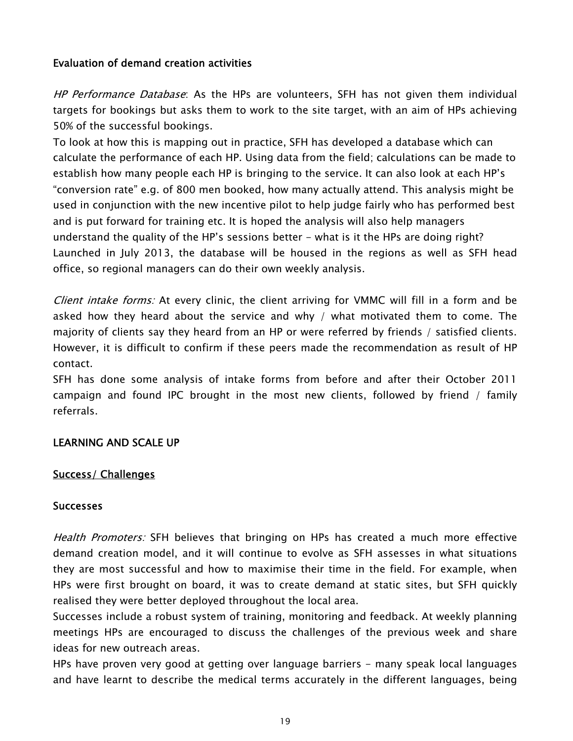### Evaluation of demand creation activities

HP Performance Database: As the HPs are volunteers, SFH has not given them individual targets for bookings but asks them to work to the site target, with an aim of HPs achieving 50% of the successful bookings.

To look at how this is mapping out in practice, SFH has developed a database which can calculate the performance of each HP. Using data from the field; calculations can be made to establish how many people each HP is bringing to the service. It can also look at each HP's "conversion rate" e.g. of 800 men booked, how many actually attend. This analysis might be used in conjunction with the new incentive pilot to help judge fairly who has performed best and is put forward for training etc. It is hoped the analysis will also help managers understand the quality of the HP's sessions better - what is it the HPs are doing right? Launched in July 2013, the database will be housed in the regions as well as SFH head office, so regional managers can do their own weekly analysis.

Client intake forms: At every clinic, the client arriving for VMMC will fill in a form and be asked how they heard about the service and why / what motivated them to come. The majority of clients say they heard from an HP or were referred by friends / satisfied clients. However, it is difficult to confirm if these peers made the recommendation as result of HP contact.

SFH has done some analysis of intake forms from before and after their October 2011 campaign and found IPC brought in the most new clients, followed by friend / family referrals.

#### LEARNING AND SCALE UP

#### Success/ Challenges

#### **Successes**

Health Promoters: SFH believes that bringing on HPs has created a much more effective demand creation model, and it will continue to evolve as SFH assesses in what situations they are most successful and how to maximise their time in the field. For example, when HPs were first brought on board, it was to create demand at static sites, but SFH quickly realised they were better deployed throughout the local area.

Successes include a robust system of training, monitoring and feedback. At weekly planning meetings HPs are encouraged to discuss the challenges of the previous week and share ideas for new outreach areas.

HPs have proven very good at getting over language barriers - many speak local languages and have learnt to describe the medical terms accurately in the different languages, being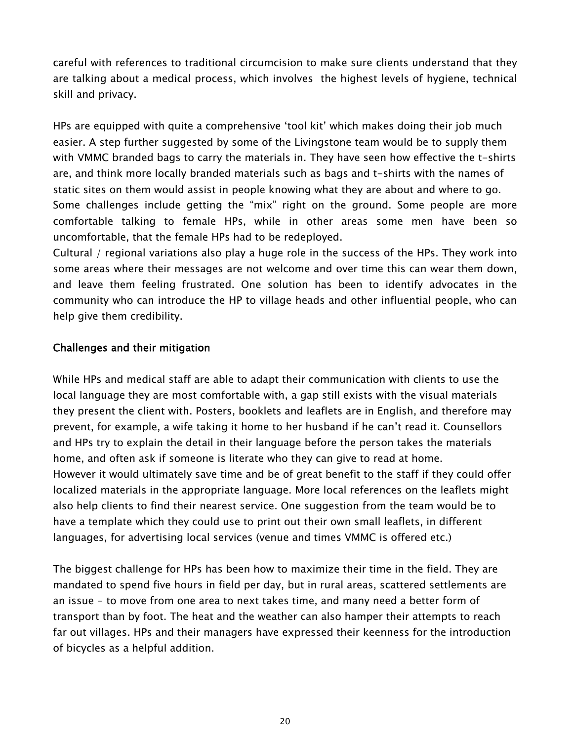careful with references to traditional circumcision to make sure clients understand that they are talking about a medical process, which involves the highest levels of hygiene, technical skill and privacy.

HPs are equipped with quite a comprehensive 'tool kit' which makes doing their job much easier. A step further suggested by some of the Livingstone team would be to supply them with VMMC branded bags to carry the materials in. They have seen how effective the t-shirts are, and think more locally branded materials such as bags and t-shirts with the names of static sites on them would assist in people knowing what they are about and where to go. Some challenges include getting the "mix" right on the ground. Some people are more comfortable talking to female HPs, while in other areas some men have been so uncomfortable, that the female HPs had to be redeployed.

Cultural / regional variations also play a huge role in the success of the HPs. They work into some areas where their messages are not welcome and over time this can wear them down, and leave them feeling frustrated. One solution has been to identify advocates in the community who can introduce the HP to village heads and other influential people, who can help give them credibility.

### Challenges and their mitigation

While HPs and medical staff are able to adapt their communication with clients to use the local language they are most comfortable with, a gap still exists with the visual materials they present the client with. Posters, booklets and leaflets are in English, and therefore may prevent, for example, a wife taking it home to her husband if he can't read it. Counsellors and HPs try to explain the detail in their language before the person takes the materials home, and often ask if someone is literate who they can give to read at home. However it would ultimately save time and be of great benefit to the staff if they could offer localized materials in the appropriate language. More local references on the leaflets might also help clients to find their nearest service. One suggestion from the team would be to have a template which they could use to print out their own small leaflets, in different languages, for advertising local services (venue and times VMMC is offered etc.)

The biggest challenge for HPs has been how to maximize their time in the field. They are mandated to spend five hours in field per day, but in rural areas, scattered settlements are an issue - to move from one area to next takes time, and many need a better form of transport than by foot. The heat and the weather can also hamper their attempts to reach far out villages. HPs and their managers have expressed their keenness for the introduction of bicycles as a helpful addition.